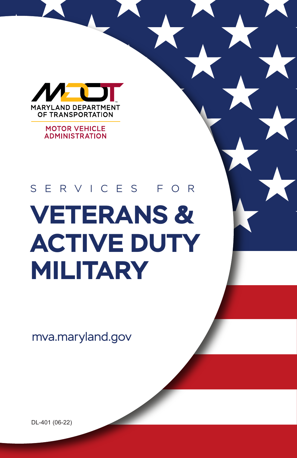

**MOTOR VEHICLE ADMINISTRATION** 

# **VETERANS & ACTIVE DUTY MILITARY** S E R VICE S F O R

mva.maryland.gov

DL-401 (06-22)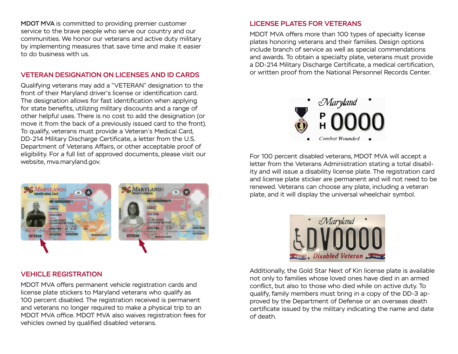MDOT MVA is committed to providing premier customer service to the brave people who serve our country and our communities. We honor our veterans and active duty military by implementing measures that save time and make it easier to do business with us.

### VETERAN DESIGNATION ON LICENSES AND ID CARDS

Qualifying veterans may add a "VETERAN" designation to the front of their Maryland driver's license or identification card. The designation allows for fast identification when applying for state benefits, utilizing military discounts and a range of other helpful uses. There is no cost to add the designation (or move it from the back of a previously issued card to the front). To qualify, veterans must provide a Veteran's Medical Card, DD-214 Military Discharge Certificate, a letter from the U.S. Department of Veterans Affairs, or other acceptable proof of eligibility. For a full list of approved documents, please visit our website, mva.maryland.gov.



#### VEHICLE REGISTRATION

MDOT MVA offers permanent vehicle registration cards and license plate stickers to Maryland veterans who qualify as 100 percent disabled. The registration received is permanent and veterans no longer required to make a physical trip to an MDOT MVA office. MDOT MVA also waives registration fees for vehicles owned by qualified disabled veterans.

## LICENSE PLATES FOR VETERANS

MDOT MVA offers more than 100 types of specialty license plates honoring veterans and their families. Design options include branch of service as well as special commendations and awards. To obtain a specialty plate, veterans must provide a DD-214 Military Discharge Certificate, a medical certification, or written proof from the National Personnel Records Center.



For 100 percent disabled veterans, MDOT MVA will accept a letter from the Veterans Administration stating a total disability and will issue a disability license plate. The registration card and license plate sticker are permanent and will not need to be renewed. Veterans can choose any plate, including a veteran plate, and it will display the universal wheelchair symbol.



Additionally, the Gold Star Next of Kin license plate is available not only to families whose loved ones have died in an armed conflict, but also to those who died while on active duty. To qualify, family members must bring in a copy of the DD-3 approved by the Department of Defense or an overseas death certificate issued by the military indicating the name and date of death.